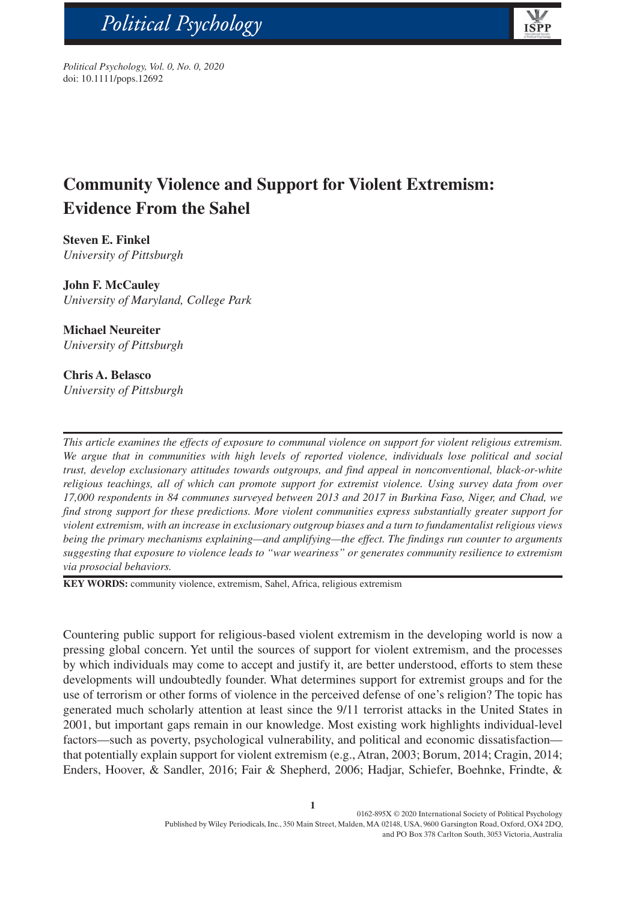



*Political Psychology, Vol. 0, No. 0, 2020* doi: 10.1111/pops.12692

# **Community Violence and Support for Violent Extremism: Evidence From the Sahel**

**Steven E. Finkel** *University of Pittsburgh*

**John F. McCauley** *University of Maryland, College Park*

**Michael Neureiter** *University of Pittsburgh*

**Chris A. Belasco** *University of Pittsburgh*

*This article examines the effects of exposure to communal violence on support for violent religious extremism. We argue that in communities with high levels of reported violence, individuals lose political and social trust, develop exclusionary attitudes towards outgroups, and find appeal in nonconventional, black-or-white religious teachings, all of which can promote support for extremist violence. Using survey data from over 17,000 respondents in 84 communes surveyed between 2013 and 2017 in Burkina Faso, Niger, and Chad, we find strong support for these predictions. More violent communities express substantially greater support for violent extremism, with an increase in exclusionary outgroup biases and a turn to fundamentalist religious views being the primary mechanisms explaining—and amplifying—the effect. The findings run counter to arguments suggesting that exposure to violence leads to "war weariness" or generates community resilience to extremism via prosocial behaviors.*

**KEY WORDS:** community violence, extremism, Sahel, Africa, religious extremism

Countering public support for religious-based violent extremism in the developing world is now a pressing global concern. Yet until the sources of support for violent extremism, and the processes by which individuals may come to accept and justify it, are better understood, efforts to stem these developments will undoubtedly founder. What determines support for extremist groups and for the use of terrorism or other forms of violence in the perceived defense of one's religion? The topic has generated much scholarly attention at least since the 9/11 terrorist attacks in the United States in 2001, but important gaps remain in our knowledge. Most existing work highlights individual-level factors—such as poverty, psychological vulnerability, and political and economic dissatisfaction that potentially explain support for violent extremism (e.g., Atran, 2003; Borum, 2014; Cragin, 2014; Enders, Hoover, & Sandler, 2016; Fair & Shepherd, 2006; Hadjar, Schiefer, Boehnke, Frindte, &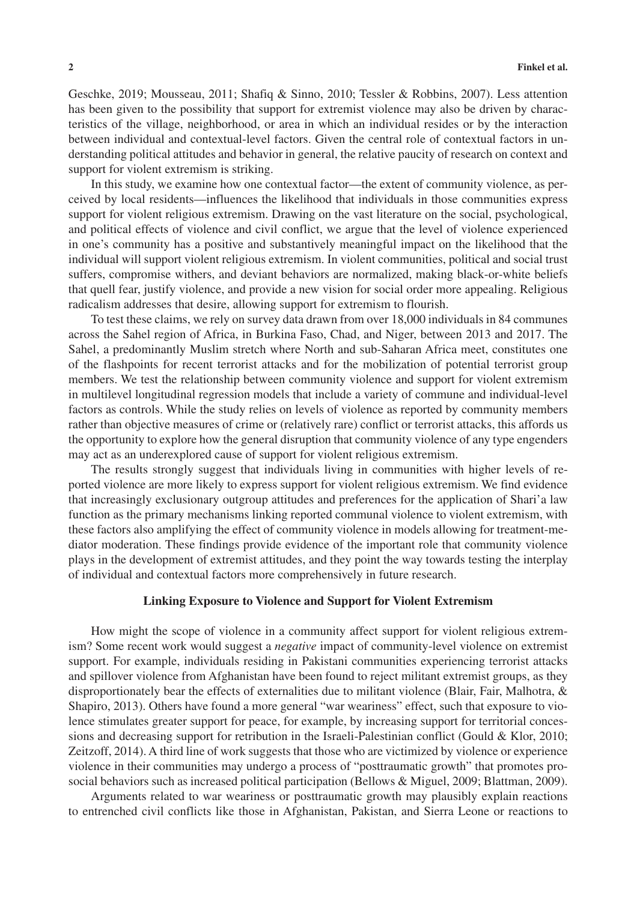Geschke, 2019; Mousseau, 2011; Shafiq & Sinno, 2010; Tessler & Robbins, 2007). Less attention has been given to the possibility that support for extremist violence may also be driven by characteristics of the village, neighborhood, or area in which an individual resides or by the interaction between individual and contextual-level factors. Given the central role of contextual factors in understanding political attitudes and behavior in general, the relative paucity of research on context and support for violent extremism is striking.

In this study, we examine how one contextual factor—the extent of community violence, as perceived by local residents—influences the likelihood that individuals in those communities express support for violent religious extremism. Drawing on the vast literature on the social, psychological, and political effects of violence and civil conflict, we argue that the level of violence experienced in one's community has a positive and substantively meaningful impact on the likelihood that the individual will support violent religious extremism. In violent communities, political and social trust suffers, compromise withers, and deviant behaviors are normalized, making black-or-white beliefs that quell fear, justify violence, and provide a new vision for social order more appealing. Religious radicalism addresses that desire, allowing support for extremism to flourish.

To test these claims, we rely on survey data drawn from over 18,000 individuals in 84 communes across the Sahel region of Africa, in Burkina Faso, Chad, and Niger, between 2013 and 2017. The Sahel, a predominantly Muslim stretch where North and sub-Saharan Africa meet, constitutes one of the flashpoints for recent terrorist attacks and for the mobilization of potential terrorist group members. We test the relationship between community violence and support for violent extremism in multilevel longitudinal regression models that include a variety of commune and individual-level factors as controls. While the study relies on levels of violence as reported by community members rather than objective measures of crime or (relatively rare) conflict or terrorist attacks, this affords us the opportunity to explore how the general disruption that community violence of any type engenders may act as an underexplored cause of support for violent religious extremism.

The results strongly suggest that individuals living in communities with higher levels of reported violence are more likely to express support for violent religious extremism. We find evidence that increasingly exclusionary outgroup attitudes and preferences for the application of Shari'a law function as the primary mechanisms linking reported communal violence to violent extremism, with these factors also amplifying the effect of community violence in models allowing for treatment-mediator moderation. These findings provide evidence of the important role that community violence plays in the development of extremist attitudes, and they point the way towards testing the interplay of individual and contextual factors more comprehensively in future research.

### **Linking Exposure to Violence and Support for Violent Extremism**

How might the scope of violence in a community affect support for violent religious extremism? Some recent work would suggest a *negative* impact of community-level violence on extremist support. For example, individuals residing in Pakistani communities experiencing terrorist attacks and spillover violence from Afghanistan have been found to reject militant extremist groups, as they disproportionately bear the effects of externalities due to militant violence (Blair, Fair, Malhotra, & Shapiro, 2013). Others have found a more general "war weariness" effect, such that exposure to violence stimulates greater support for peace, for example, by increasing support for territorial concessions and decreasing support for retribution in the Israeli-Palestinian conflict (Gould & Klor, 2010; Zeitzoff, 2014). A third line of work suggests that those who are victimized by violence or experience violence in their communities may undergo a process of "posttraumatic growth" that promotes prosocial behaviors such as increased political participation (Bellows & Miguel, 2009; Blattman, 2009).

Arguments related to war weariness or posttraumatic growth may plausibly explain reactions to entrenched civil conflicts like those in Afghanistan, Pakistan, and Sierra Leone or reactions to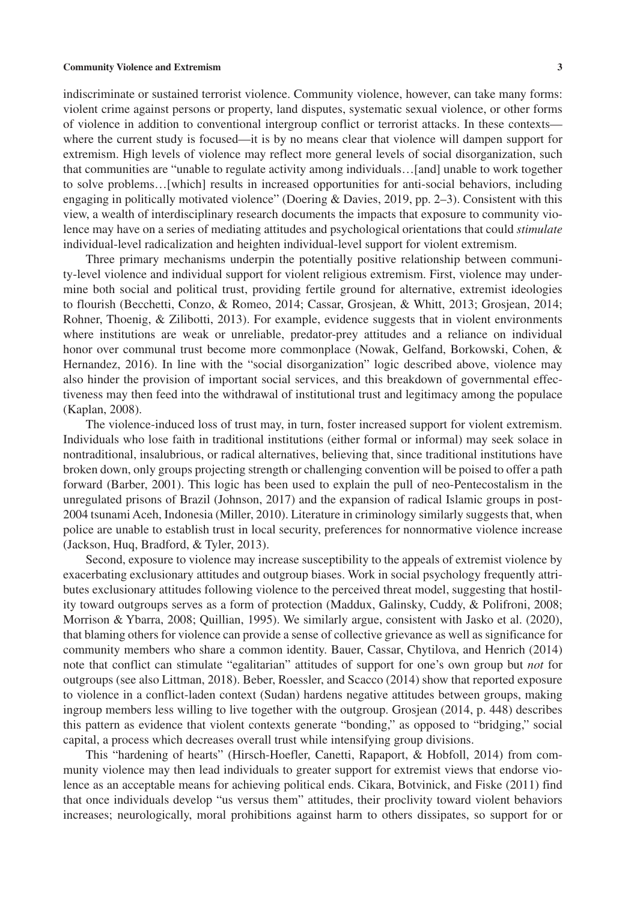indiscriminate or sustained terrorist violence. Community violence, however, can take many forms: violent crime against persons or property, land disputes, systematic sexual violence, or other forms of violence in addition to conventional intergroup conflict or terrorist attacks. In these contexts where the current study is focused—it is by no means clear that violence will dampen support for extremism. High levels of violence may reflect more general levels of social disorganization, such that communities are "unable to regulate activity among individuals…[and] unable to work together to solve problems…[which] results in increased opportunities for anti-social behaviors, including engaging in politically motivated violence" (Doering & Davies, 2019, pp. 2–3). Consistent with this view, a wealth of interdisciplinary research documents the impacts that exposure to community violence may have on a series of mediating attitudes and psychological orientations that could *stimulate* individual-level radicalization and heighten individual-level support for violent extremism.

Three primary mechanisms underpin the potentially positive relationship between community-level violence and individual support for violent religious extremism. First, violence may undermine both social and political trust, providing fertile ground for alternative, extremist ideologies to flourish (Becchetti, Conzo, & Romeo, 2014; Cassar, Grosjean, & Whitt, 2013; Grosjean, 2014; Rohner, Thoenig, & Zilibotti, 2013). For example, evidence suggests that in violent environments where institutions are weak or unreliable, predator-prey attitudes and a reliance on individual honor over communal trust become more commonplace (Nowak, Gelfand, Borkowski, Cohen, & Hernandez, 2016). In line with the "social disorganization" logic described above, violence may also hinder the provision of important social services, and this breakdown of governmental effectiveness may then feed into the withdrawal of institutional trust and legitimacy among the populace (Kaplan, 2008).

The violence-induced loss of trust may, in turn, foster increased support for violent extremism. Individuals who lose faith in traditional institutions (either formal or informal) may seek solace in nontraditional, insalubrious, or radical alternatives, believing that, since traditional institutions have broken down, only groups projecting strength or challenging convention will be poised to offer a path forward (Barber, 2001). This logic has been used to explain the pull of neo-Pentecostalism in the unregulated prisons of Brazil (Johnson, 2017) and the expansion of radical Islamic groups in post-2004 tsunami Aceh, Indonesia (Miller, 2010). Literature in criminology similarly suggests that, when police are unable to establish trust in local security, preferences for nonnormative violence increase (Jackson, Huq, Bradford, & Tyler, 2013).

Second, exposure to violence may increase susceptibility to the appeals of extremist violence by exacerbating exclusionary attitudes and outgroup biases. Work in social psychology frequently attributes exclusionary attitudes following violence to the perceived threat model, suggesting that hostility toward outgroups serves as a form of protection (Maddux, Galinsky, Cuddy, & Polifroni, 2008; Morrison & Ybarra, 2008; Quillian, 1995). We similarly argue, consistent with Jasko et al. (2020), that blaming others for violence can provide a sense of collective grievance as well as significance for community members who share a common identity. Bauer, Cassar, Chytilova, and Henrich (2014) note that conflict can stimulate "egalitarian" attitudes of support for one's own group but *not* for outgroups (see also Littman, 2018). Beber, Roessler, and Scacco (2014) show that reported exposure to violence in a conflict-laden context (Sudan) hardens negative attitudes between groups, making ingroup members less willing to live together with the outgroup. Grosjean (2014, p. 448) describes this pattern as evidence that violent contexts generate "bonding," as opposed to "bridging," social capital, a process which decreases overall trust while intensifying group divisions.

This "hardening of hearts" (Hirsch-Hoefler, Canetti, Rapaport, & Hobfoll, 2014) from community violence may then lead individuals to greater support for extremist views that endorse violence as an acceptable means for achieving political ends. Cikara, Botvinick, and Fiske (2011) find that once individuals develop "us versus them" attitudes, their proclivity toward violent behaviors increases; neurologically, moral prohibitions against harm to others dissipates, so support for or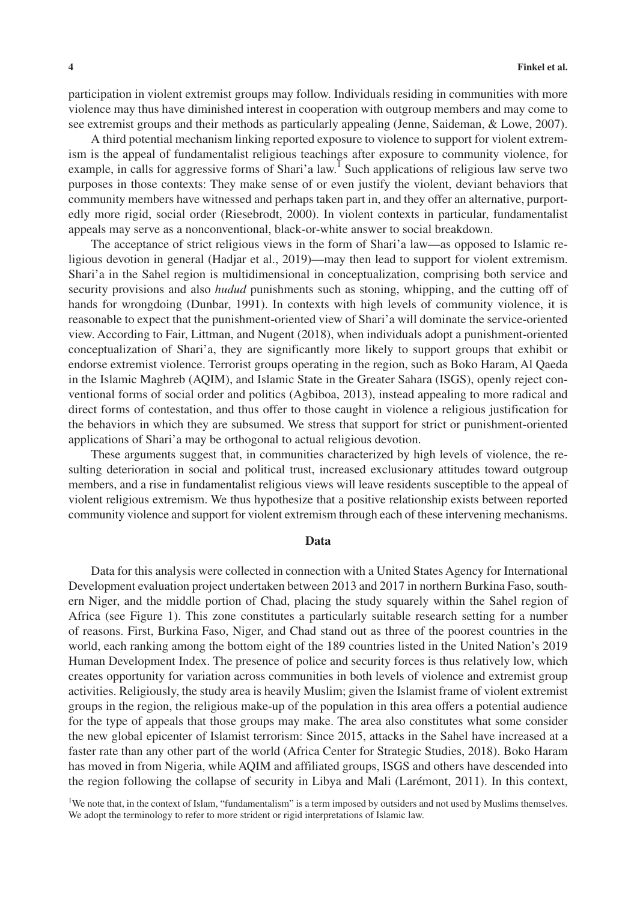participation in violent extremist groups may follow. Individuals residing in communities with more violence may thus have diminished interest in cooperation with outgroup members and may come to see extremist groups and their methods as particularly appealing (Jenne, Saideman, & Lowe, 2007).

A third potential mechanism linking reported exposure to violence to support for violent extremism is the appeal of fundamentalist religious teachings after exposure to community violence, for example, in calls for aggressive forms of Shari'a law.<sup>1</sup> Such applications of religious law serve two purposes in those contexts: They make sense of or even justify the violent, deviant behaviors that community members have witnessed and perhaps taken part in, and they offer an alternative, purportedly more rigid, social order (Riesebrodt, 2000). In violent contexts in particular, fundamentalist appeals may serve as a nonconventional, black-or-white answer to social breakdown.

The acceptance of strict religious views in the form of Shari'a law—as opposed to Islamic religious devotion in general (Hadjar et al., 2019)—may then lead to support for violent extremism. Shari'a in the Sahel region is multidimensional in conceptualization, comprising both service and security provisions and also *hudud* punishments such as stoning, whipping, and the cutting off of hands for wrongdoing (Dunbar, 1991). In contexts with high levels of community violence, it is reasonable to expect that the punishment-oriented view of Shari'a will dominate the service-oriented view. According to Fair, Littman, and Nugent (2018), when individuals adopt a punishment-oriented conceptualization of Shari'a, they are significantly more likely to support groups that exhibit or endorse extremist violence. Terrorist groups operating in the region, such as Boko Haram, Al Qaeda in the Islamic Maghreb (AQIM), and Islamic State in the Greater Sahara (ISGS), openly reject conventional forms of social order and politics (Agbiboa, 2013), instead appealing to more radical and direct forms of contestation, and thus offer to those caught in violence a religious justification for the behaviors in which they are subsumed. We stress that support for strict or punishment-oriented applications of Shari'a may be orthogonal to actual religious devotion.

These arguments suggest that, in communities characterized by high levels of violence, the resulting deterioration in social and political trust, increased exclusionary attitudes toward outgroup members, and a rise in fundamentalist religious views will leave residents susceptible to the appeal of violent religious extremism. We thus hypothesize that a positive relationship exists between reported community violence and support for violent extremism through each of these intervening mechanisms.

## **Data**

Data for this analysis were collected in connection with a United States Agency for International Development evaluation project undertaken between 2013 and 2017 in northern Burkina Faso, southern Niger, and the middle portion of Chad, placing the study squarely within the Sahel region of Africa (see Figure 1). This zone constitutes a particularly suitable research setting for a number of reasons. First, Burkina Faso, Niger, and Chad stand out as three of the poorest countries in the world, each ranking among the bottom eight of the 189 countries listed in the United Nation's 2019 Human Development Index. The presence of police and security forces is thus relatively low, which creates opportunity for variation across communities in both levels of violence and extremist group activities. Religiously, the study area is heavily Muslim; given the Islamist frame of violent extremist groups in the region, the religious make-up of the population in this area offers a potential audience for the type of appeals that those groups may make. The area also constitutes what some consider the new global epicenter of Islamist terrorism: Since 2015, attacks in the Sahel have increased at a faster rate than any other part of the world (Africa Center for Strategic Studies, 2018). Boko Haram has moved in from Nigeria, while AQIM and affiliated groups, ISGS and others have descended into the region following the collapse of security in Libya and Mali (Larémont, 2011). In this context,

<sup>1</sup>We note that, in the context of Islam, "fundamentalism" is a term imposed by outsiders and not used by Muslims themselves. We adopt the terminology to refer to more strident or rigid interpretations of Islamic law.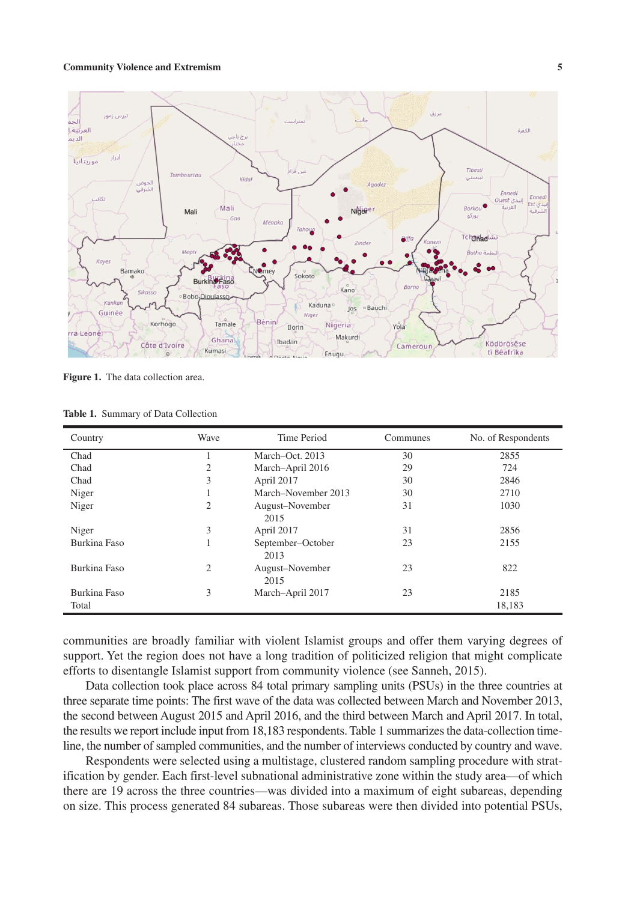

**Figure 1.** The data collection area.

| Country      | Wave           | Time Period         | Communes | No. of Respondents |
|--------------|----------------|---------------------|----------|--------------------|
| Chad         |                | March-Oct. 2013     | 30       | 2855               |
| Chad         | $\overline{2}$ | March-April 2016    | 29       | 724                |
| Chad         | 3              | April 2017          | 30       | 2846               |
| Niger        |                | March-November 2013 | 30       | 2710               |
| Niger        | $\overline{c}$ | August-November     | 31       | 1030               |
|              |                | 2015                |          |                    |
| Niger        | 3              | April 2017          | 31       | 2856               |
| Burkina Faso |                | September-October   | 23       | 2155               |
|              |                | 2013                |          |                    |
| Burkina Faso | 2              | August-November     | 23       | 822                |
|              |                | 2015                |          |                    |
| Burkina Faso | 3              | March-April 2017    | 23       | 2185               |
| Total        |                |                     |          | 18,183             |

**Table 1.** Summary of Data Collection

communities are broadly familiar with violent Islamist groups and offer them varying degrees of support. Yet the region does not have a long tradition of politicized religion that might complicate efforts to disentangle Islamist support from community violence (see Sanneh, 2015).

Data collection took place across 84 total primary sampling units (PSUs) in the three countries at three separate time points: The first wave of the data was collected between March and November 2013, the second between August 2015 and April 2016, and the third between March and April 2017. In total, the results we report include input from 18,183 respondents. Table 1 summarizes the data-collection timeline, the number of sampled communities, and the number of interviews conducted by country and wave.

Respondents were selected using a multistage, clustered random sampling procedure with stratification by gender. Each first-level subnational administrative zone within the study area—of which there are 19 across the three countries—was divided into a maximum of eight subareas, depending on size. This process generated 84 subareas. Those subareas were then divided into potential PSUs,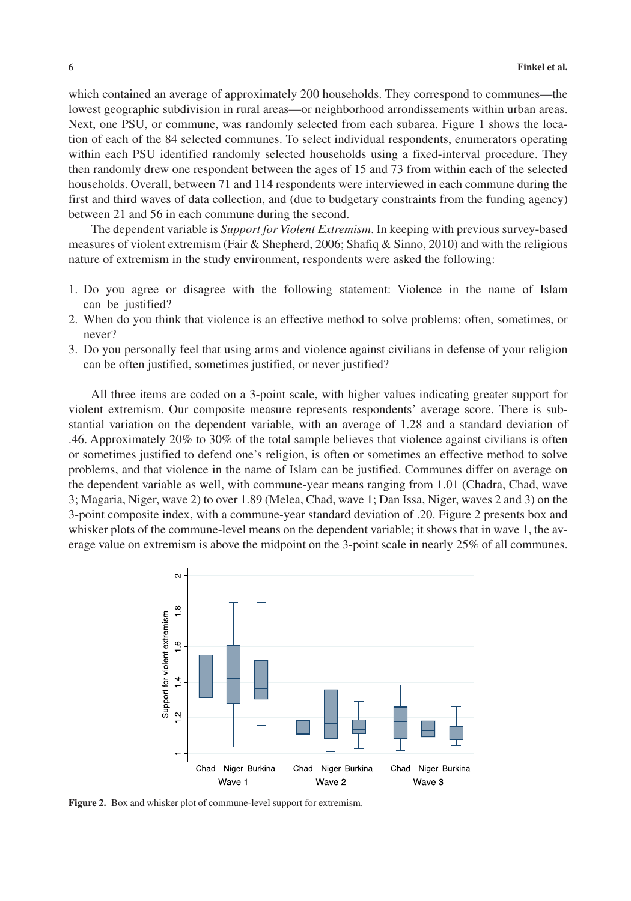which contained an average of approximately 200 households. They correspond to communes—the lowest geographic subdivision in rural areas—or neighborhood arrondissements within urban areas. Next, one PSU, or commune, was randomly selected from each subarea. Figure 1 shows the location of each of the 84 selected communes. To select individual respondents, enumerators operating within each PSU identified randomly selected households using a fixed-interval procedure. They then randomly drew one respondent between the ages of 15 and 73 from within each of the selected households. Overall, between 71 and 114 respondents were interviewed in each commune during the first and third waves of data collection, and (due to budgetary constraints from the funding agency) between 21 and 56 in each commune during the second.

The dependent variable is *Support for Violent Extremism*. In keeping with previous survey-based measures of violent extremism (Fair & Shepherd, 2006; Shafiq & Sinno, 2010) and with the religious nature of extremism in the study environment, respondents were asked the following:

- 1. Do you agree or disagree with the following statement: Violence in the name of Islam can be justified?
- 2. When do you think that violence is an effective method to solve problems: often, sometimes, or never?
- 3. Do you personally feel that using arms and violence against civilians in defense of your religion can be often justified, sometimes justified, or never justified?

All three items are coded on a 3-point scale, with higher values indicating greater support for violent extremism. Our composite measure represents respondents' average score. There is substantial variation on the dependent variable, with an average of 1.28 and a standard deviation of .46. Approximately 20% to 30% of the total sample believes that violence against civilians is often or sometimes justified to defend one's religion, is often or sometimes an effective method to solve problems, and that violence in the name of Islam can be justified. Communes differ on average on the dependent variable as well, with commune-year means ranging from 1.01 (Chadra, Chad, wave 3; Magaria, Niger, wave 2) to over 1.89 (Melea, Chad, wave 1; Dan Issa, Niger, waves 2 and 3) on the 3-point composite index, with a commune-year standard deviation of .20. Figure 2 presents box and whisker plots of the commune-level means on the dependent variable; it shows that in wave 1, the average value on extremism is above the midpoint on the 3-point scale in nearly 25% of all communes.



**Figure 2.** Box and whisker plot of commune-level support for extremism.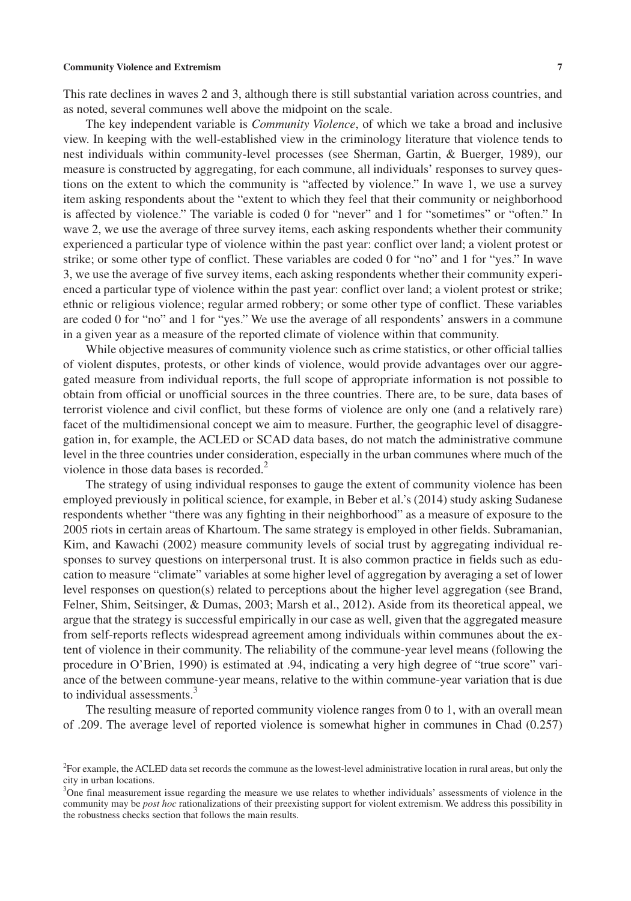This rate declines in waves 2 and 3, although there is still substantial variation across countries, and as noted, several communes well above the midpoint on the scale.

The key independent variable is *Community Violence*, of which we take a broad and inclusive view. In keeping with the well-established view in the criminology literature that violence tends to nest individuals within community-level processes (see Sherman, Gartin, & Buerger, 1989), our measure is constructed by aggregating, for each commune, all individuals' responses to survey questions on the extent to which the community is "affected by violence." In wave 1, we use a survey item asking respondents about the "extent to which they feel that their community or neighborhood is affected by violence." The variable is coded 0 for "never" and 1 for "sometimes" or "often." In wave 2, we use the average of three survey items, each asking respondents whether their community experienced a particular type of violence within the past year: conflict over land; a violent protest or strike; or some other type of conflict. These variables are coded 0 for "no" and 1 for "yes." In wave 3, we use the average of five survey items, each asking respondents whether their community experienced a particular type of violence within the past year: conflict over land; a violent protest or strike; ethnic or religious violence; regular armed robbery; or some other type of conflict. These variables are coded 0 for "no" and 1 for "yes." We use the average of all respondents' answers in a commune in a given year as a measure of the reported climate of violence within that community.

While objective measures of community violence such as crime statistics, or other official tallies of violent disputes, protests, or other kinds of violence, would provide advantages over our aggregated measure from individual reports, the full scope of appropriate information is not possible to obtain from official or unofficial sources in the three countries. There are, to be sure, data bases of terrorist violence and civil conflict, but these forms of violence are only one (and a relatively rare) facet of the multidimensional concept we aim to measure. Further, the geographic level of disaggregation in, for example, the ACLED or SCAD data bases, do not match the administrative commune level in the three countries under consideration, especially in the urban communes where much of the violence in those data bases is recorded. $<sup>2</sup>$ </sup>

The strategy of using individual responses to gauge the extent of community violence has been employed previously in political science, for example, in Beber et al.'s (2014) study asking Sudanese respondents whether "there was any fighting in their neighborhood" as a measure of exposure to the 2005 riots in certain areas of Khartoum. The same strategy is employed in other fields. Subramanian, Kim, and Kawachi (2002) measure community levels of social trust by aggregating individual responses to survey questions on interpersonal trust. It is also common practice in fields such as education to measure "climate" variables at some higher level of aggregation by averaging a set of lower level responses on question(s) related to perceptions about the higher level aggregation (see Brand, Felner, Shim, Seitsinger, & Dumas, 2003; Marsh et al., 2012). Aside from its theoretical appeal, we argue that the strategy is successful empirically in our case as well, given that the aggregated measure from self-reports reflects widespread agreement among individuals within communes about the extent of violence in their community. The reliability of the commune-year level means (following the procedure in O'Brien, 1990) is estimated at .94, indicating a very high degree of "true score" variance of the between commune-year means, relative to the within commune-year variation that is due to individual assessments.<sup>3</sup>

The resulting measure of reported community violence ranges from 0 to 1, with an overall mean of .209. The average level of reported violence is somewhat higher in communes in Chad (0.257)

<sup>2</sup> For example, the ACLED data set records the commune as the lowest-level administrative location in rural areas, but only the city in urban locations.

<sup>&</sup>lt;sup>3</sup>One final measurement issue regarding the measure we use relates to whether individuals' assessments of violence in the community may be *post hoc* rationalizations of their preexisting support for violent extremism. We address this possibility in the robustness checks section that follows the main results.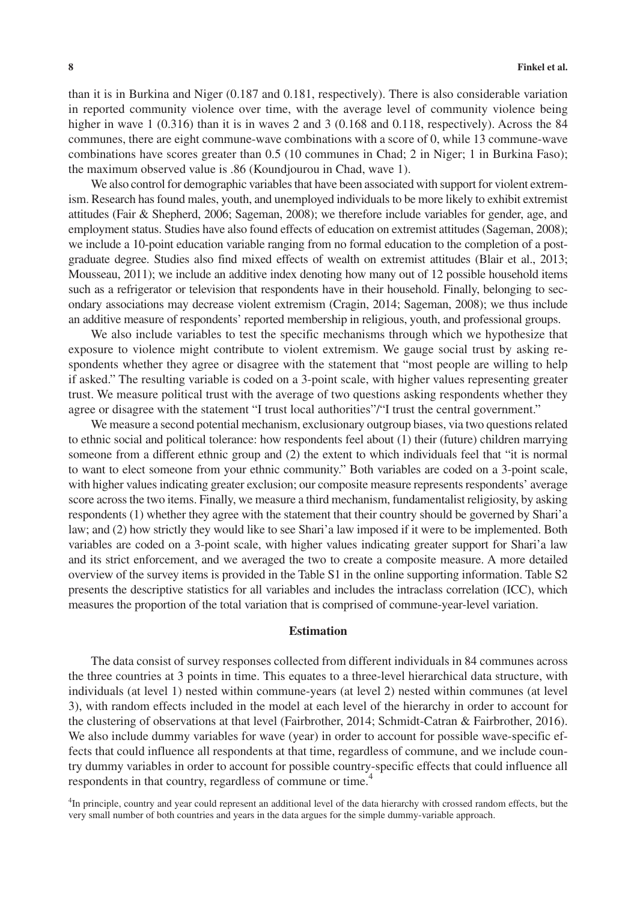than it is in Burkina and Niger (0.187 and 0.181, respectively). There is also considerable variation in reported community violence over time, with the average level of community violence being higher in wave 1 (0.316) than it is in waves 2 and 3 (0.168 and 0.118, respectively). Across the 84 communes, there are eight commune-wave combinations with a score of 0, while 13 commune-wave combinations have scores greater than 0.5 (10 communes in Chad; 2 in Niger; 1 in Burkina Faso); the maximum observed value is .86 (Koundjourou in Chad, wave 1).

We also control for demographic variables that have been associated with support for violent extremism. Research has found males, youth, and unemployed individuals to be more likely to exhibit extremist attitudes (Fair & Shepherd, 2006; Sageman, 2008); we therefore include variables for gender, age, and employment status. Studies have also found effects of education on extremist attitudes (Sageman, 2008); we include a 10-point education variable ranging from no formal education to the completion of a postgraduate degree. Studies also find mixed effects of wealth on extremist attitudes (Blair et al., 2013; Mousseau, 2011); we include an additive index denoting how many out of 12 possible household items such as a refrigerator or television that respondents have in their household. Finally, belonging to secondary associations may decrease violent extremism (Cragin, 2014; Sageman, 2008); we thus include an additive measure of respondents' reported membership in religious, youth, and professional groups.

We also include variables to test the specific mechanisms through which we hypothesize that exposure to violence might contribute to violent extremism. We gauge social trust by asking respondents whether they agree or disagree with the statement that "most people are willing to help if asked." The resulting variable is coded on a 3-point scale, with higher values representing greater trust. We measure political trust with the average of two questions asking respondents whether they agree or disagree with the statement "I trust local authorities"/"I trust the central government."

We measure a second potential mechanism, exclusionary outgroup biases, via two questions related to ethnic social and political tolerance: how respondents feel about (1) their (future) children marrying someone from a different ethnic group and (2) the extent to which individuals feel that "it is normal to want to elect someone from your ethnic community." Both variables are coded on a 3-point scale, with higher values indicating greater exclusion; our composite measure represents respondents' average score across the two items. Finally, we measure a third mechanism, fundamentalist religiosity, by asking respondents (1) whether they agree with the statement that their country should be governed by Shari'a law; and (2) how strictly they would like to see Shari'a law imposed if it were to be implemented. Both variables are coded on a 3-point scale, with higher values indicating greater support for Shari'a law and its strict enforcement, and we averaged the two to create a composite measure. A more detailed overview of the survey items is provided in the Table S1 in the online supporting information. Table S2 presents the descriptive statistics for all variables and includes the intraclass correlation (ICC), which measures the proportion of the total variation that is comprised of commune-year-level variation.

### **Estimation**

The data consist of survey responses collected from different individuals in 84 communes across the three countries at 3 points in time. This equates to a three-level hierarchical data structure, with individuals (at level 1) nested within commune-years (at level 2) nested within communes (at level 3), with random effects included in the model at each level of the hierarchy in order to account for the clustering of observations at that level (Fairbrother, 2014; Schmidt-Catran & Fairbrother, 2016). We also include dummy variables for wave (year) in order to account for possible wave-specific effects that could influence all respondents at that time, regardless of commune, and we include country dummy variables in order to account for possible country-specific effects that could influence all respondents in that country, regardless of commune or time.<sup>4</sup>

<sup>4</sup>In principle, country and year could represent an additional level of the data hierarchy with crossed random effects, but the very small number of both countries and years in the data argues for the simple dummy-variable approach.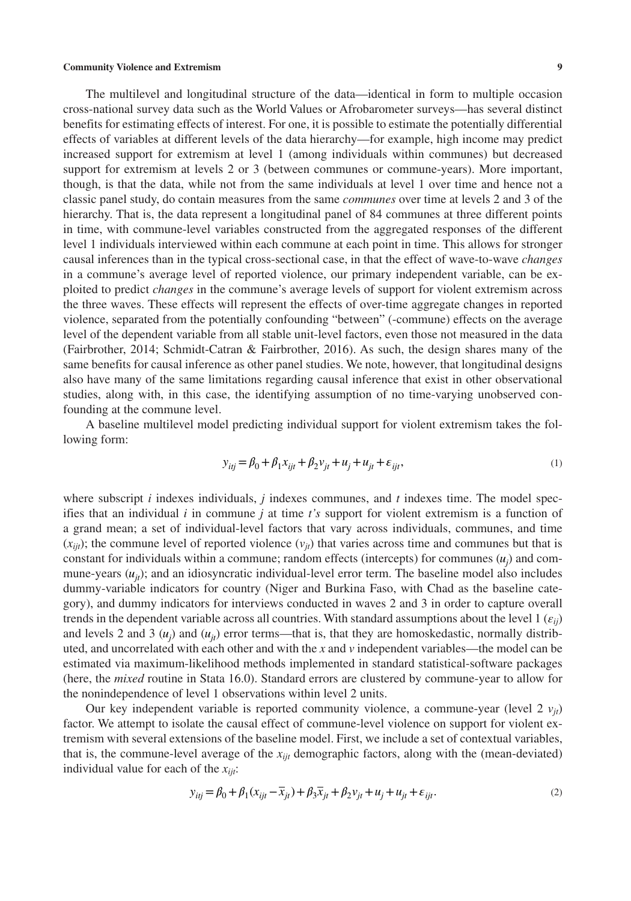The multilevel and longitudinal structure of the data—identical in form to multiple occasion cross-national survey data such as the World Values or Afrobarometer surveys—has several distinct benefits for estimating effects of interest. For one, it is possible to estimate the potentially differential effects of variables at different levels of the data hierarchy—for example, high income may predict increased support for extremism at level 1 (among individuals within communes) but decreased support for extremism at levels 2 or 3 (between communes or commune-years). More important, though, is that the data, while not from the same individuals at level 1 over time and hence not a classic panel study, do contain measures from the same *communes* over time at levels 2 and 3 of the hierarchy. That is, the data represent a longitudinal panel of 84 communes at three different points in time, with commune-level variables constructed from the aggregated responses of the different level 1 individuals interviewed within each commune at each point in time. This allows for stronger causal inferences than in the typical cross-sectional case, in that the effect of wave-to-wave *changes* in a commune's average level of reported violence, our primary independent variable, can be exploited to predict *changes* in the commune's average levels of support for violent extremism across the three waves. These effects will represent the effects of over-time aggregate changes in reported violence, separated from the potentially confounding "between" (-commune) effects on the average level of the dependent variable from all stable unit-level factors, even those not measured in the data (Fairbrother, 2014; Schmidt-Catran & Fairbrother, 2016). As such, the design shares many of the same benefits for causal inference as other panel studies. We note, however, that longitudinal designs also have many of the same limitations regarding causal inference that exist in other observational studies, along with, in this case, the identifying assumption of no time-varying unobserved confounding at the commune level.

A baseline multilevel model predicting individual support for violent extremism takes the following form:

$$
y_{ij} = \beta_0 + \beta_1 x_{ijt} + \beta_2 y_{jt} + u_j + u_{jt} + \varepsilon_{ijt},
$$
\n(1)

where subscript *i* indexes individuals, *j* indexes communes, and *t* indexes time. The model specifies that an individual *i* in commune *j* at time *t's* support for violent extremism is a function of a grand mean; a set of individual-level factors that vary across individuals, communes, and time  $(x_{ijt})$ ; the commune level of reported violence  $(v_{it})$  that varies across time and communes but that is constant for individuals within a commune; random effects (intercepts) for communes  $(u_j)$  and commune-years  $(u_{ij})$ ; and an idiosyncratic individual-level error term. The baseline model also includes dummy-variable indicators for country (Niger and Burkina Faso, with Chad as the baseline category), and dummy indicators for interviews conducted in waves 2 and 3 in order to capture overall trends in the dependent variable across all countries. With standard assumptions about the level 1 (*εij*) and levels 2 and 3  $(u_j)$  and  $(u_{jt})$  error terms—that is, that they are homoskedastic, normally distributed, and uncorrelated with each other and with the *x* and *v* independent variables—the model can be estimated via maximum-likelihood methods implemented in standard statistical-software packages (here, the *mixed* routine in Stata 16.0). Standard errors are clustered by commune-year to allow for the nonindependence of level 1 observations within level 2 units.

Our key independent variable is reported community violence, a commune-year (level 2  $v_{ij}$ ) factor. We attempt to isolate the causal effect of commune-level violence on support for violent extremism with several extensions of the baseline model. First, we include a set of contextual variables, that is, the commune-level average of the *xijt* demographic factors, along with the (mean-deviated) individual value for each of the *xijt*:

$$
y_{ij} = \beta_0 + \beta_1 (x_{ijt} - \overline{x}_{jt}) + \beta_3 \overline{x}_{jt} + \beta_2 y_{jt} + u_j + u_{jt} + \varepsilon_{ijt}.
$$
 (2)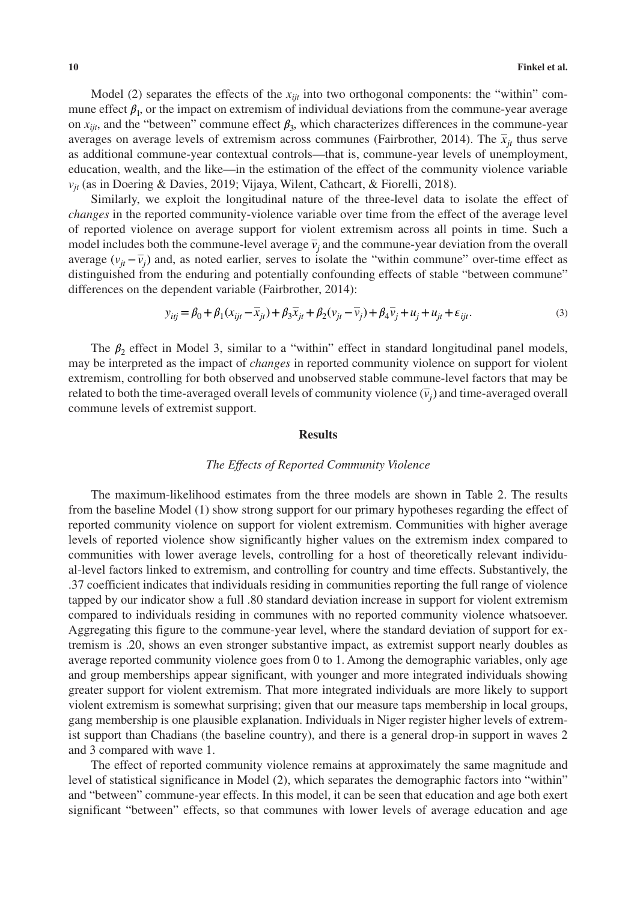Model (2) separates the effects of the *xijt* into two orthogonal components: the "within" commune effect  $\beta_1$ , or the impact on extremism of individual deviations from the commune-year average on  $x_{ij}$ , and the "between" commune effect  $\beta_3$ , which characterizes differences in the commune-year averages on average levels of extremism across communes (Fairbrother, 2014). The  $\bar{x}_{it}$  thus serve as additional commune-year contextual controls—that is, commune-year levels of unemployment, education, wealth, and the like—in the estimation of the effect of the community violence variable *vjt* (as in Doering & Davies, 2019; Vijaya, Wilent, Cathcart, & Fiorelli, 2018).

Similarly, we exploit the longitudinal nature of the three-level data to isolate the effect of *changes* in the reported community-violence variable over time from the effect of the average level of reported violence on average support for violent extremism across all points in time. Such a model includes both the commune-level average  $\overline{v}_j$  and the commune-year deviation from the overall average  $(v_{ji} - \overline{v}_j)$  and, as noted earlier, serves to isolate the "within commune" over-time effect as distinguished from the enduring and potentially confounding effects of stable "between commune" differences on the dependent variable (Fairbrother, 2014):

$$
y_{ij} = \beta_0 + \beta_1 (x_{ijt} - \overline{x}_{jt}) + \beta_3 \overline{x}_{jt} + \beta_2 (v_{jt} - \overline{v}_j) + \beta_4 \overline{v}_j + u_j + u_{jt} + \varepsilon_{ijt}.
$$
\n(3)

The  $\beta_2$  effect in Model 3, similar to a "within" effect in standard longitudinal panel models, may be interpreted as the impact of *changes* in reported community violence on support for violent extremism, controlling for both observed and unobserved stable commune-level factors that may be related to both the time-averaged overall levels of community violence  $(\bar{v}_i)$  and time-averaged overall commune levels of extremist support.

#### **Results**

### *The Effects of Reported Community Violence*

The maximum-likelihood estimates from the three models are shown in Table 2. The results from the baseline Model (1) show strong support for our primary hypotheses regarding the effect of reported community violence on support for violent extremism. Communities with higher average levels of reported violence show significantly higher values on the extremism index compared to communities with lower average levels, controlling for a host of theoretically relevant individual-level factors linked to extremism, and controlling for country and time effects. Substantively, the .37 coefficient indicates that individuals residing in communities reporting the full range of violence tapped by our indicator show a full .80 standard deviation increase in support for violent extremism compared to individuals residing in communes with no reported community violence whatsoever. Aggregating this figure to the commune-year level, where the standard deviation of support for extremism is .20, shows an even stronger substantive impact, as extremist support nearly doubles as average reported community violence goes from 0 to 1. Among the demographic variables, only age and group memberships appear significant, with younger and more integrated individuals showing greater support for violent extremism. That more integrated individuals are more likely to support violent extremism is somewhat surprising; given that our measure taps membership in local groups, gang membership is one plausible explanation. Individuals in Niger register higher levels of extremist support than Chadians (the baseline country), and there is a general drop-in support in waves 2 and 3 compared with wave 1.

The effect of reported community violence remains at approximately the same magnitude and level of statistical significance in Model (2), which separates the demographic factors into "within" and "between" commune-year effects. In this model, it can be seen that education and age both exert significant "between" effects, so that communes with lower levels of average education and age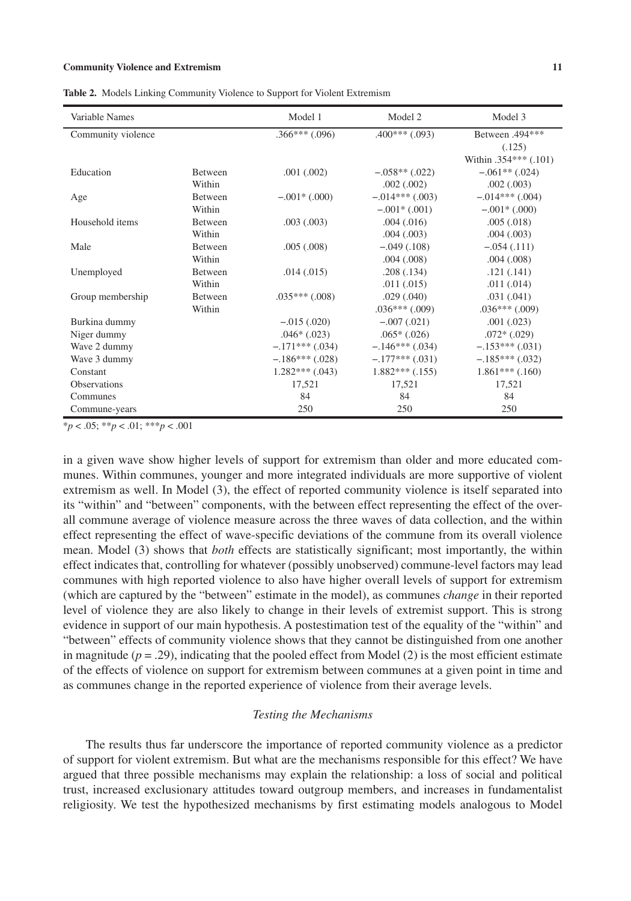| Variable Names      |                | Model 1            | Model 2           | Model 3               |
|---------------------|----------------|--------------------|-------------------|-----------------------|
| Community violence  |                | $.366***$ (.096)   | $.400***$ (.093)  | Between .494***       |
|                     |                |                    |                   | (.125)                |
|                     |                |                    |                   | Within .354*** (.101) |
| Education           | <b>Between</b> | .001(.002)         | $-.058**(.022)$   | $-.061**(.024)$       |
|                     | Within         |                    | .002(.002)        | .002(.003)            |
| Age                 | Between        | $-.001*(.000)$     | $-.014***$ (.003) | $-0.014***$ (.004)    |
|                     | Within         |                    | $-.001*(.001)$    | $-.001*(.000)$        |
| Household items     | Between        | .003(.003)         | .004(.016)        | .005(.018)            |
|                     | Within         |                    | .004(.003)        | .004(.003)            |
| Male                | <b>Between</b> | .005(.008)         | $-.049(.108)$     | $-.054(.111)$         |
|                     | Within         |                    | .004(.008)        | .004(.008)            |
| Unemployed          | Between        | .014(.015)         | .208(.134)        | .121(.141)            |
|                     | Within         |                    | .011(.015)        | .011(.014)            |
| Group membership    | Between        | $.035***$ $(.008)$ | .029(.040)        | .031(.041)            |
|                     | Within         |                    | $.036***(.009)$   | $.036***(.009)$       |
| Burkina dummy       |                | $-.015(.020)$      | $-.007(.021)$     | .001(.023)            |
| Niger dummy         |                | $.046*(.023)$      | $.065*(.026)$     | $.072*(.029)$         |
| Wave 2 dummy        |                | $-.171***(.034)$   | $-.146***(.034)$  | $-.153***(.031)$      |
| Wave 3 dummy        |                | $-.186***(.028)$   | $-.177***(.031)$  | $-.185***(.032)$      |
| Constant            |                | $1.282***(0.043)$  | $1.882***(0.155)$ | $1.861***$ $(.160)$   |
| <b>Observations</b> |                | 17,521             | 17,521            | 17,521                |
| Communes            |                | 84                 | 84                | 84                    |
| Commune-years       |                | 250                | 250               | 250                   |

**Table 2.** Models Linking Community Violence to Support for Violent Extremism

\**p* < .05; \*\**p* < .01; \*\*\**p* < .001

in a given wave show higher levels of support for extremism than older and more educated communes. Within communes, younger and more integrated individuals are more supportive of violent extremism as well. In Model (3), the effect of reported community violence is itself separated into its "within" and "between" components, with the between effect representing the effect of the overall commune average of violence measure across the three waves of data collection, and the within effect representing the effect of wave-specific deviations of the commune from its overall violence mean. Model (3) shows that *both* effects are statistically significant; most importantly, the within effect indicates that, controlling for whatever (possibly unobserved) commune-level factors may lead communes with high reported violence to also have higher overall levels of support for extremism (which are captured by the "between" estimate in the model), as communes *change* in their reported level of violence they are also likely to change in their levels of extremist support. This is strong evidence in support of our main hypothesis. A postestimation test of the equality of the "within" and "between" effects of community violence shows that they cannot be distinguished from one another in magnitude  $(p = .29)$ , indicating that the pooled effect from Model  $(2)$  is the most efficient estimate of the effects of violence on support for extremism between communes at a given point in time and as communes change in the reported experience of violence from their average levels.

# *Testing the Mechanisms*

The results thus far underscore the importance of reported community violence as a predictor of support for violent extremism. But what are the mechanisms responsible for this effect? We have argued that three possible mechanisms may explain the relationship: a loss of social and political trust, increased exclusionary attitudes toward outgroup members, and increases in fundamentalist religiosity. We test the hypothesized mechanisms by first estimating models analogous to Model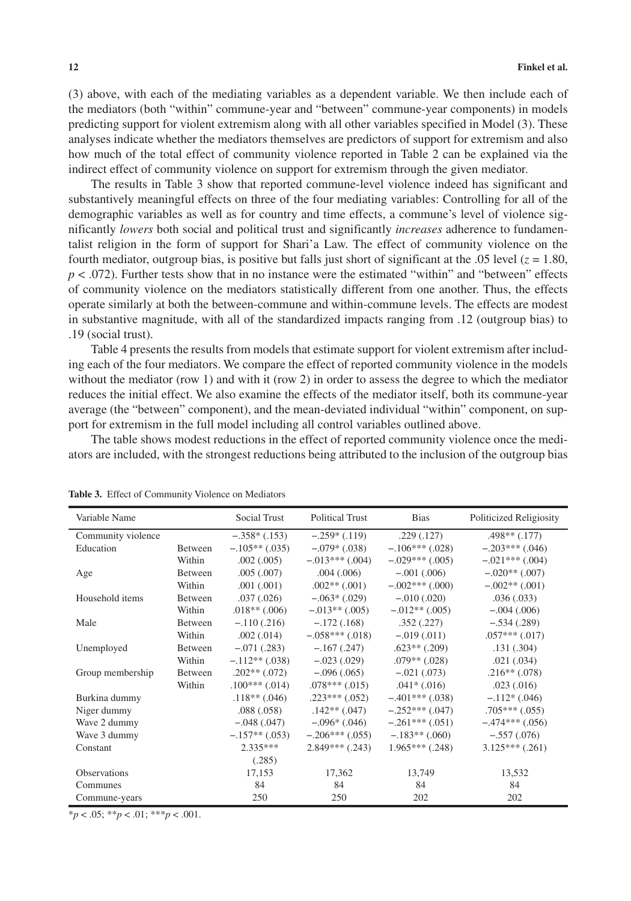(3) above, with each of the mediating variables as a dependent variable. We then include each of the mediators (both "within" commune-year and "between" commune-year components) in models predicting support for violent extremism along with all other variables specified in Model (3). These analyses indicate whether the mediators themselves are predictors of support for extremism and also how much of the total effect of community violence reported in Table 2 can be explained via the indirect effect of community violence on support for extremism through the given mediator.

The results in Table 3 show that reported commune-level violence indeed has significant and substantively meaningful effects on three of the four mediating variables: Controlling for all of the demographic variables as well as for country and time effects, a commune's level of violence significantly *lowers* both social and political trust and significantly *increases* adherence to fundamentalist religion in the form of support for Shari'a Law. The effect of community violence on the fourth mediator, outgroup bias, is positive but falls just short of significant at the .05 level (*z* = 1.80,  $p < .072$ ). Further tests show that in no instance were the estimated "within" and "between" effects of community violence on the mediators statistically different from one another. Thus, the effects operate similarly at both the between-commune and within-commune levels. The effects are modest in substantive magnitude, with all of the standardized impacts ranging from .12 (outgroup bias) to .19 (social trust).

Table 4 presents the results from models that estimate support for violent extremism after including each of the four mediators. We compare the effect of reported community violence in the models without the mediator (row 1) and with it (row 2) in order to assess the degree to which the mediator reduces the initial effect. We also examine the effects of the mediator itself, both its commune-year average (the "between" component), and the mean-deviated individual "within" component, on support for extremism in the full model including all control variables outlined above.

The table shows modest reductions in the effect of reported community violence once the mediators are included, with the strongest reductions being attributed to the inclusion of the outgroup bias

| Variable Name       |         | Social Trust      | <b>Political Trust</b> | <b>Bias</b>       | Politicized Religiosity |
|---------------------|---------|-------------------|------------------------|-------------------|-------------------------|
| Community violence  |         | $-.358*(.153)$    | $-.259*(.119)$         | .229(.127)        | $.498**(.177)$          |
| Education           | Between | $-.105**(.035)$   | $-.079*(.038)$         | $-.106***$ (.028) | $-.203***$ (.046)       |
|                     | Within  | .002(.005)        | $-.013***$ (.004)      | $-.029***(.005)$  | $-.021***$ (.004)       |
| Age                 | Between | .005(.007)        | .004(.006)             | $-.001(.006)$     | $-.020**(.007)$         |
|                     | Within  | .001(.001)        | $.002**$ (.001)        | $-.002***$ (.000) | $-.002**(.001)$         |
| Household items     | Between | .037(.026)        | $-.063*(.029)$         | $-.010(.020)$     | .036(.033)              |
|                     | Within  | $.018**(.006)$    | $-0.013**$ (.005)      | $-0.012**$ (.005) | $-.004(.006)$           |
| Male                | Between | $-.110(.216)$     | $-.172(.168)$          | .352(.227)        | $-.534(.289)$           |
|                     | Within  | .002(.014)        | $-.058***(.018)$       | $-.019(.011)$     | $.057***(.017)$         |
| Unemployed          | Between | $-.071(.283)$     | $-.167(.247)$          | $.623**$ $(.209)$ | .131(.304)              |
|                     | Within  | $-.112**(.038)$   | $-.023(.029)$          | $.079**$ (.028)   | .021(.034)              |
| Group membership    | Between | $.202**$ $(.072)$ | $-.096(.065)$          | $-.021(.073)$     | $.216**(.078)$          |
|                     | Within  | $.100***(.014)$   | $.078***(.015)$        | $.041*(.016)$     | .023(.016)              |
| Burkina dummy       |         | $.118**$ (.046)   | $.223***$ $(.052)$     | $-.401***(.038)$  | $-.112*(.046)$          |
| Niger dummy         |         | .088(.058)        | $.142**(.047)$         | $-.252***(047)$   | $.705***(.055)$         |
| Wave 2 dummy        |         | $-.048(.047)$     | $-.096*(.046)$         | $-.261***(.051)$  | $-.474***(.056)$        |
| Wave 3 dummy        |         | $-.157**(.053)$   | $-.206***$ (.055)      | $-.183**(.060)$   | $-.557(.076)$           |
| Constant            |         | $2.335***$        | $2.849***$ $(.243)$    | $1.965***$ (.248) | $3.125***$ (.261)       |
|                     |         | (.285)            |                        |                   |                         |
| <b>Observations</b> |         | 17,153            | 17,362                 | 13,749            | 13,532                  |
| Communes            |         | 84                | 84                     | 84                | 84                      |
| Commune-years       |         | 250               | 250                    | 202               | 202                     |

**Table 3.** Effect of Community Violence on Mediators

\**p* < .05; \*\**p* < .01; \*\*\**p* < .001.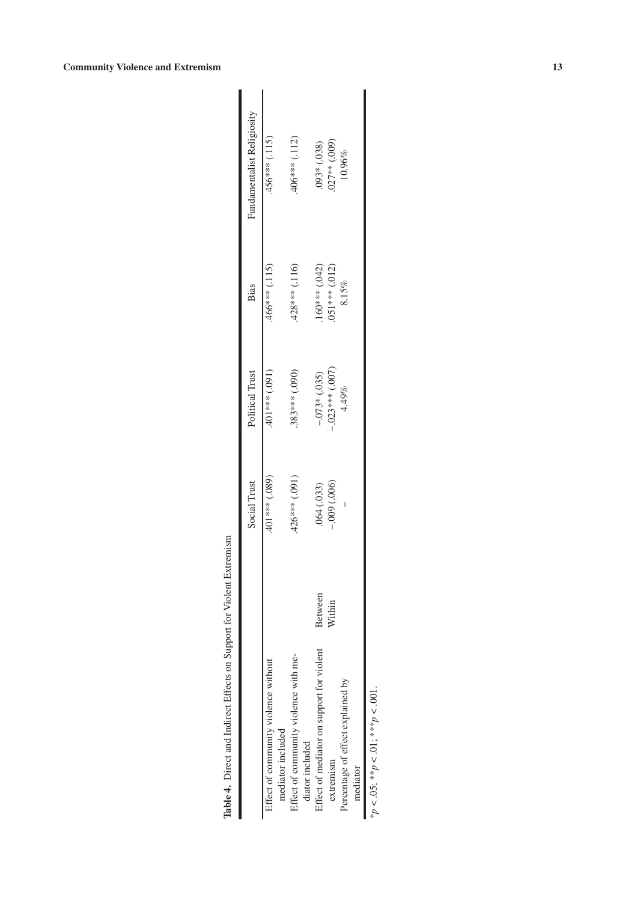| Table 4. Direct and Indirect Effects on Support for Violent Extremism<br>Between<br>Within<br>Effect of mediator on support for violent<br>Effect of community violence with me-<br>Effect of community violence without<br>Percentage of effect explained by<br>mediator included<br>diator included<br>extremism | 401*** (.089)<br>426*** (.091)<br>Social Trust<br>$-009$ $(.006)$<br>.064(033) | $.023***(.007)$<br>Political Trust<br>401*** (.091)<br>383*** (.090)<br>$-0.073*(0.035)$<br>4.49% | .428*** (.116)<br>160*** (.042)<br>.466*** (.115)<br>051 *** (.012)<br>8.15%<br>Bias | Fundamentalist Religiosity<br>$.456***(.115)$<br>406*** (.112)<br>000) *** (2009)<br>093* (.038)<br>10.96% |
|--------------------------------------------------------------------------------------------------------------------------------------------------------------------------------------------------------------------------------------------------------------------------------------------------------------------|--------------------------------------------------------------------------------|---------------------------------------------------------------------------------------------------|--------------------------------------------------------------------------------------|------------------------------------------------------------------------------------------------------------|
| * $p < 0.05$ ; ** $p < 0.1$ ; *** $p < 0.01$<br>mediator                                                                                                                                                                                                                                                           |                                                                                |                                                                                                   |                                                                                      |                                                                                                            |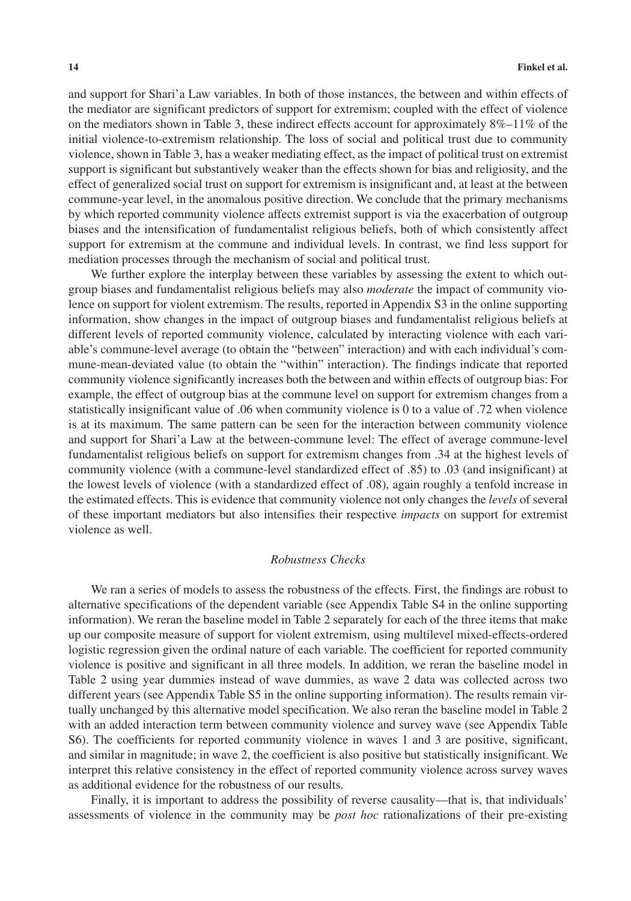and support for Shari'a Law variables. In both of those instances, the between and within effects of the mediator are significant predictors of support for extremism; coupled with the effect of violence on the mediators shown in Table 3, these indirect effects account for approximately 8%–11% of the initial violence-to-extremism relationship. The loss of social and political trust due to community violence, shown in Table 3, has a weaker mediating effect, as the impact of political trust on extremist support is significant but substantively weaker than the effects shown for bias and religiosity, and the effect of generalized social trust on support for extremism is insignificant and, at least at the between commune-year level, in the anomalous positive direction. We conclude that the primary mechanisms by which reported community violence affects extremist support is via the exacerbation of outgroup biases and the intensification of fundamentalist religious beliefs, both of which consistently affect support for extremism at the commune and individual levels. In contrast, we find less support for mediation processes through the mechanism of social and political trust.

We further explore the interplay between these variables by assessing the extent to which outgroup biases and fundamentalist religious beliefs may also *moderate* the impact of community violence on support for violent extremism. The results, reported in Appendix S3 in the online supporting information, show changes in the impact of outgroup biases and fundamentalist religious beliefs at different levels of reported community violence, calculated by interacting violence with each variable's commune-level average (to obtain the "between" interaction) and with each individual's commune-mean-deviated value (to obtain the "within" interaction). The findings indicate that reported community violence significantly increases both the between and within effects of outgroup bias: For example, the effect of outgroup bias at the commune level on support for extremism changes from a statistically insignificant value of .06 when community violence is 0 to a value of .72 when violence is at its maximum. The same pattern can be seen for the interaction between community violence and support for Shari'a Law at the between-commune level: The effect of average commune-level fundamentalist religious beliefs on support for extremism changes from .34 at the highest levels of community violence (with a commune-level standardized effect of .85) to .03 (and insignificant) at the lowest levels of violence (with a standardized effect of .08), again roughly a tenfold increase in the estimated effects. This is evidence that community violence not only changes the *levels* of several of these important mediators but also intensifies their respective *impacts* on support for extremist violence as well.

# *Robustness Checks*

We ran a series of models to assess the robustness of the effects. First, the findings are robust to alternative specifications of the dependent variable (see Appendix Table S4 in the online supporting information). We reran the baseline model in Table 2 separately for each of the three items that make up our composite measure of support for violent extremism, using multilevel mixed-effects-ordered logistic regression given the ordinal nature of each variable. The coefficient for reported community violence is positive and significant in all three models. In addition, we reran the baseline model in Table 2 using year dummies instead of wave dummies, as wave 2 data was collected across two different years (see Appendix Table S5 in the online supporting information). The results remain virtually unchanged by this alternative model specification. We also reran the baseline model in Table 2 with an added interaction term between community violence and survey wave (see Appendix Table S6). The coefficients for reported community violence in waves 1 and 3 are positive, significant, and similar in magnitude; in wave 2, the coefficient is also positive but statistically insignificant. We interpret this relative consistency in the effect of reported community violence across survey waves as additional evidence for the robustness of our results.

Finally, it is important to address the possibility of reverse causality—that is, that individuals' assessments of violence in the community may be *post hoc* rationalizations of their pre-existing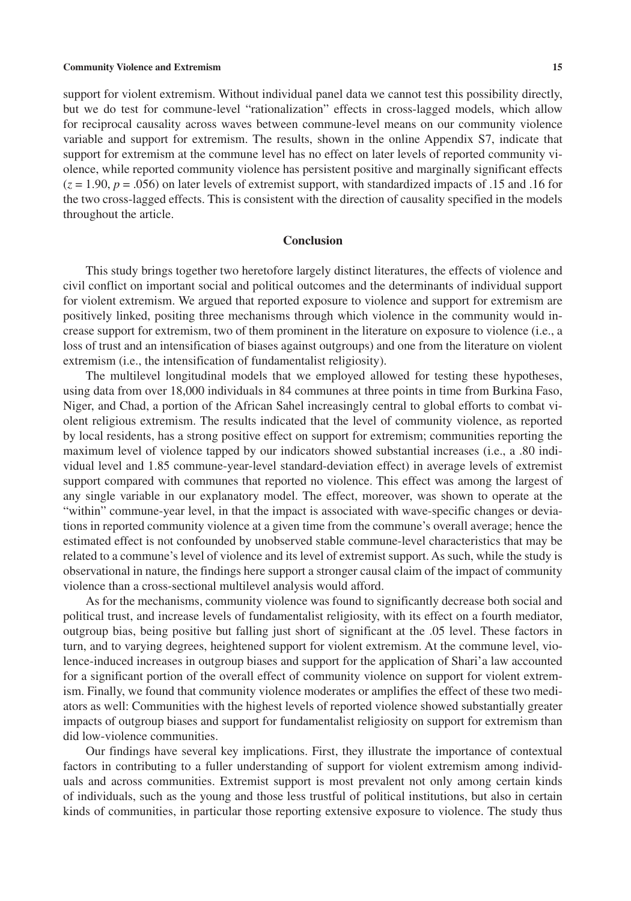support for violent extremism. Without individual panel data we cannot test this possibility directly, but we do test for commune-level "rationalization" effects in cross-lagged models, which allow for reciprocal causality across waves between commune-level means on our community violence variable and support for extremism. The results, shown in the online Appendix S7, indicate that support for extremism at the commune level has no effect on later levels of reported community violence, while reported community violence has persistent positive and marginally significant effects  $(z = 1.90, p = .056)$  on later levels of extremist support, with standardized impacts of .15 and .16 for the two cross-lagged effects. This is consistent with the direction of causality specified in the models throughout the article.

### **Conclusion**

This study brings together two heretofore largely distinct literatures, the effects of violence and civil conflict on important social and political outcomes and the determinants of individual support for violent extremism. We argued that reported exposure to violence and support for extremism are positively linked, positing three mechanisms through which violence in the community would increase support for extremism, two of them prominent in the literature on exposure to violence (i.e., a loss of trust and an intensification of biases against outgroups) and one from the literature on violent extremism (i.e., the intensification of fundamentalist religiosity).

The multilevel longitudinal models that we employed allowed for testing these hypotheses, using data from over 18,000 individuals in 84 communes at three points in time from Burkina Faso, Niger, and Chad, a portion of the African Sahel increasingly central to global efforts to combat violent religious extremism. The results indicated that the level of community violence, as reported by local residents, has a strong positive effect on support for extremism; communities reporting the maximum level of violence tapped by our indicators showed substantial increases (i.e., a .80 individual level and 1.85 commune-year-level standard-deviation effect) in average levels of extremist support compared with communes that reported no violence. This effect was among the largest of any single variable in our explanatory model. The effect, moreover, was shown to operate at the "within" commune-year level, in that the impact is associated with wave-specific changes or deviations in reported community violence at a given time from the commune's overall average; hence the estimated effect is not confounded by unobserved stable commune-level characteristics that may be related to a commune's level of violence and its level of extremist support. As such, while the study is observational in nature, the findings here support a stronger causal claim of the impact of community violence than a cross-sectional multilevel analysis would afford.

As for the mechanisms, community violence was found to significantly decrease both social and political trust, and increase levels of fundamentalist religiosity, with its effect on a fourth mediator, outgroup bias, being positive but falling just short of significant at the .05 level. These factors in turn, and to varying degrees, heightened support for violent extremism. At the commune level, violence-induced increases in outgroup biases and support for the application of Shari'a law accounted for a significant portion of the overall effect of community violence on support for violent extremism. Finally, we found that community violence moderates or amplifies the effect of these two mediators as well: Communities with the highest levels of reported violence showed substantially greater impacts of outgroup biases and support for fundamentalist religiosity on support for extremism than did low-violence communities.

Our findings have several key implications. First, they illustrate the importance of contextual factors in contributing to a fuller understanding of support for violent extremism among individuals and across communities. Extremist support is most prevalent not only among certain kinds of individuals, such as the young and those less trustful of political institutions, but also in certain kinds of communities, in particular those reporting extensive exposure to violence. The study thus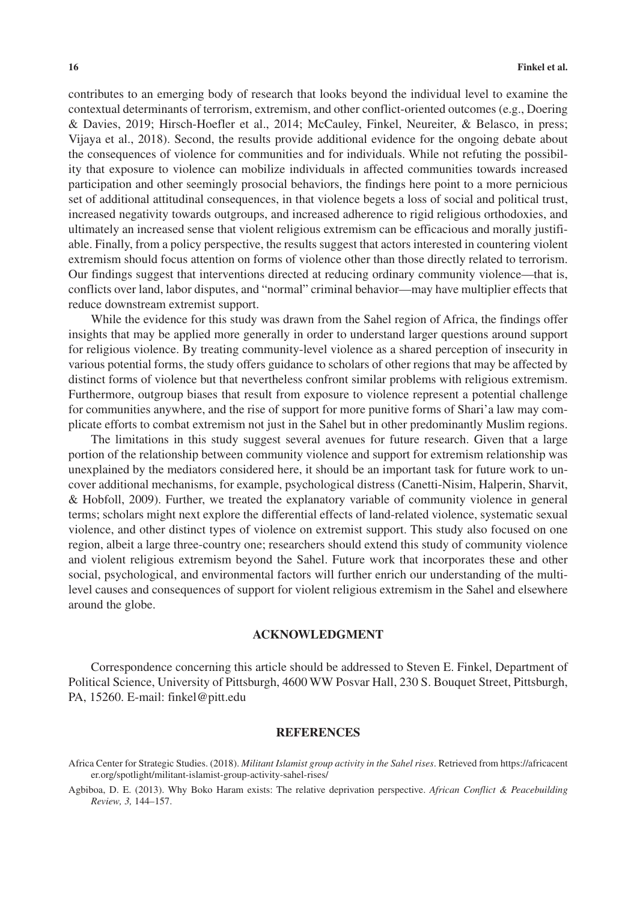contributes to an emerging body of research that looks beyond the individual level to examine the contextual determinants of terrorism, extremism, and other conflict-oriented outcomes (e.g., Doering & Davies, 2019; Hirsch-Hoefler et al., 2014; McCauley, Finkel, Neureiter, & Belasco, in press; Vijaya et al., 2018). Second, the results provide additional evidence for the ongoing debate about the consequences of violence for communities and for individuals. While not refuting the possibility that exposure to violence can mobilize individuals in affected communities towards increased participation and other seemingly prosocial behaviors, the findings here point to a more pernicious set of additional attitudinal consequences, in that violence begets a loss of social and political trust, increased negativity towards outgroups, and increased adherence to rigid religious orthodoxies, and ultimately an increased sense that violent religious extremism can be efficacious and morally justifiable. Finally, from a policy perspective, the results suggest that actors interested in countering violent extremism should focus attention on forms of violence other than those directly related to terrorism. Our findings suggest that interventions directed at reducing ordinary community violence—that is, conflicts over land, labor disputes, and "normal" criminal behavior—may have multiplier effects that reduce downstream extremist support.

While the evidence for this study was drawn from the Sahel region of Africa, the findings offer insights that may be applied more generally in order to understand larger questions around support for religious violence. By treating community-level violence as a shared perception of insecurity in various potential forms, the study offers guidance to scholars of other regions that may be affected by distinct forms of violence but that nevertheless confront similar problems with religious extremism. Furthermore, outgroup biases that result from exposure to violence represent a potential challenge for communities anywhere, and the rise of support for more punitive forms of Shari'a law may complicate efforts to combat extremism not just in the Sahel but in other predominantly Muslim regions.

The limitations in this study suggest several avenues for future research. Given that a large portion of the relationship between community violence and support for extremism relationship was unexplained by the mediators considered here, it should be an important task for future work to uncover additional mechanisms, for example, psychological distress (Canetti-Nisim, Halperin, Sharvit, & Hobfoll, 2009). Further, we treated the explanatory variable of community violence in general terms; scholars might next explore the differential effects of land-related violence, systematic sexual violence, and other distinct types of violence on extremist support. This study also focused on one region, albeit a large three-country one; researchers should extend this study of community violence and violent religious extremism beyond the Sahel. Future work that incorporates these and other social, psychological, and environmental factors will further enrich our understanding of the multilevel causes and consequences of support for violent religious extremism in the Sahel and elsewhere around the globe.

### **ACKNOWLEDGMENT**

Correspondence concerning this article should be addressed to Steven E. Finkel, Department of Political Science, University of Pittsburgh, 4600 WW Posvar Hall, 230 S. Bouquet Street, Pittsburgh, PA, 15260. E-mail: finkel@pitt.edu

### **REFERENCES**

Agbiboa, D. E. (2013). Why Boko Haram exists: The relative deprivation perspective. *African Conflict & Peacebuilding Review, 3,* 144–157.

Africa Center for Strategic Studies. (2018). *Militant Islamist group activity in the Sahel rises*. Retrieved from [https://africacent](https://africacenter.org/spotlight/militant-islamist-group-activity-sahel-rises/) [er.org/spotlight/militant-islamist-group-activity-sahel-rises/](https://africacenter.org/spotlight/militant-islamist-group-activity-sahel-rises/)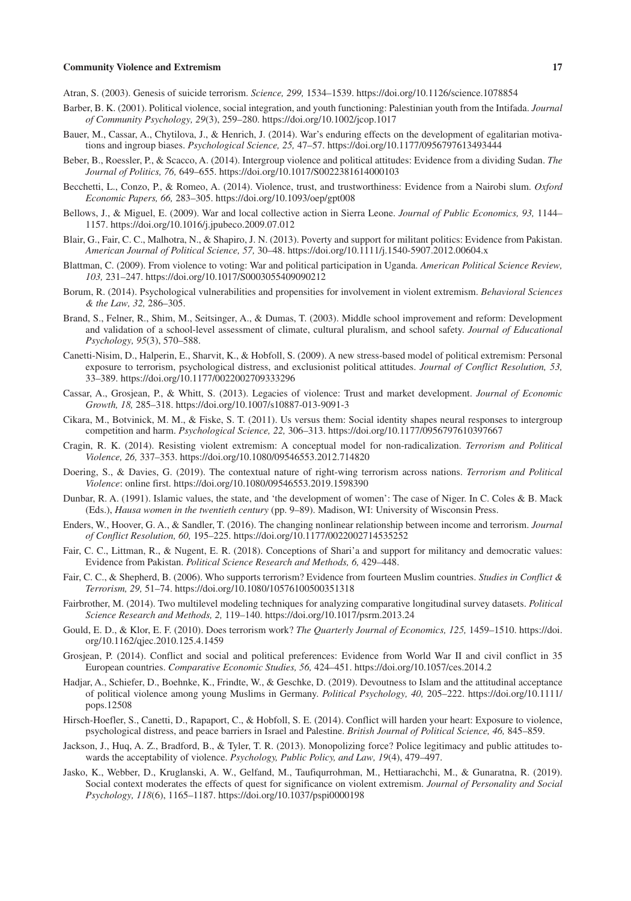Atran, S. (2003). Genesis of suicide terrorism. *Science, 299,* 1534–1539. <https://doi.org/10.1126/science.1078854>

- Barber, B. K. (2001). Political violence, social integration, and youth functioning: Palestinian youth from the Intifada. *Journal of Community Psychology, 29*(3), 259–280. <https://doi.org/10.1002/jcop.1017>
- Bauer, M., Cassar, A., Chytilova, J., & Henrich, J. (2014). War's enduring effects on the development of egalitarian motivations and ingroup biases. *Psychological Science, 25,* 47–57.<https://doi.org/10.1177/0956797613493444>
- Beber, B., Roessler, P., & Scacco, A. (2014). Intergroup violence and political attitudes: Evidence from a dividing Sudan. *The Journal of Politics, 76,* 649–655.<https://doi.org/10.1017/S0022381614000103>
- Becchetti, L., Conzo, P., & Romeo, A. (2014). Violence, trust, and trustworthiness: Evidence from a Nairobi slum. *Oxford Economic Papers, 66,* 283–305.<https://doi.org/10.1093/oep/gpt008>
- Bellows, J., & Miguel, E. (2009). War and local collective action in Sierra Leone. *Journal of Public Economics, 93,* 1144– 1157.<https://doi.org/10.1016/j.jpubeco.2009.07.012>
- Blair, G., Fair, C. C., Malhotra, N., & Shapiro, J. N. (2013). Poverty and support for militant politics: Evidence from Pakistan. *American Journal of Political Science, 57,* 30–48. <https://doi.org/10.1111/j.1540-5907.2012.00604.x>
- Blattman, C. (2009). From violence to voting: War and political participation in Uganda. *American Political Science Review, 103,* 231–247.<https://doi.org/10.1017/S0003055409090212>
- Borum, R. (2014). Psychological vulnerabilities and propensities for involvement in violent extremism. *Behavioral Sciences & the Law, 32,* 286–305.
- Brand, S., Felner, R., Shim, M., Seitsinger, A., & Dumas, T. (2003). Middle school improvement and reform: Development and validation of a school-level assessment of climate, cultural pluralism, and school safety. *Journal of Educational Psychology, 95*(3), 570–588.
- Canetti-Nisim, D., Halperin, E., Sharvit, K., & Hobfoll, S. (2009). A new stress-based model of political extremism: Personal exposure to terrorism, psychological distress, and exclusionist political attitudes. *Journal of Conflict Resolution, 53,* 33–389.<https://doi.org/10.1177/0022002709333296>
- Cassar, A., Grosjean, P., & Whitt, S. (2013). Legacies of violence: Trust and market development. *Journal of Economic Growth, 18,* 285–318.<https://doi.org/10.1007/s10887-013-9091-3>
- Cikara, M., Botvinick, M. M., & Fiske, S. T. (2011). Us versus them: Social identity shapes neural responses to intergroup competition and harm. *Psychological Science, 22,* 306–313.<https://doi.org/10.1177/0956797610397667>
- Cragin, R. K. (2014). Resisting violent extremism: A conceptual model for non-radicalization. *Terrorism and Political Violence, 26,* 337–353. <https://doi.org/10.1080/09546553.2012.714820>
- Doering, S., & Davies, G. (2019). The contextual nature of right-wing terrorism across nations. *Terrorism and Political Violence*: online first. <https://doi.org/10.1080/09546553.2019.1598390>
- Dunbar, R. A. (1991). Islamic values, the state, and 'the development of women': The case of Niger. In C. Coles & B. Mack (Eds.), *Hausa women in the twentieth century* (pp. 9–89). Madison, WI: University of Wisconsin Press.
- Enders, W., Hoover, G. A., & Sandler, T. (2016). The changing nonlinear relationship between income and terrorism. *Journal of Conflict Resolution, 60,* 195–225. <https://doi.org/10.1177/0022002714535252>
- Fair, C. C., Littman, R., & Nugent, E. R. (2018). Conceptions of Shari'a and support for militancy and democratic values: Evidence from Pakistan. *Political Science Research and Methods, 6,* 429–448.
- Fair, C. C., & Shepherd, B. (2006). Who supports terrorism? Evidence from fourteen Muslim countries. *Studies in Conflict & Terrorism, 29,* 51–74. <https://doi.org/10.1080/10576100500351318>
- Fairbrother, M. (2014). Two multilevel modeling techniques for analyzing comparative longitudinal survey datasets. *Political Science Research and Methods, 2,* 119–140. <https://doi.org/10.1017/psrm.2013.24>
- Gould, E. D., & Klor, E. F. (2010). Does terrorism work? *The Quarterly Journal of Economics, 125,* 1459–1510. [https://doi.](https://doi.org/10.1162/qjec.2010.125.4.1459) [org/10.1162/qjec.2010.125.4.1459](https://doi.org/10.1162/qjec.2010.125.4.1459)
- Grosjean, P. (2014). Conflict and social and political preferences: Evidence from World War II and civil conflict in 35 European countries. *Comparative Economic Studies, 56,* 424–451.<https://doi.org/10.1057/ces.2014.2>
- Hadjar, A., Schiefer, D., Boehnke, K., Frindte, W., & Geschke, D. (2019). Devoutness to Islam and the attitudinal acceptance of political violence among young Muslims in Germany. *Political Psychology, 40,* 205–222. [https://doi.org/10.1111/](https://doi.org/10.1111/pops.12508) [pops.12508](https://doi.org/10.1111/pops.12508)
- Hirsch-Hoefler, S., Canetti, D., Rapaport, C., & Hobfoll, S. E. (2014). Conflict will harden your heart: Exposure to violence, psychological distress, and peace barriers in Israel and Palestine. *British Journal of Political Science, 46,* 845–859.
- Jackson, J., Huq, A. Z., Bradford, B., & Tyler, T. R. (2013). Monopolizing force? Police legitimacy and public attitudes towards the acceptability of violence. *Psychology, Public Policy, and Law, 19*(4), 479–497.
- Jasko, K., Webber, D., Kruglanski, A. W., Gelfand, M., Taufiqurrohman, M., Hettiarachchi, M., & Gunaratna, R. (2019). Social context moderates the effects of quest for significance on violent extremism. *Journal of Personality and Social Psychology, 118*(6), 1165–1187.<https://doi.org/10.1037/pspi0000198>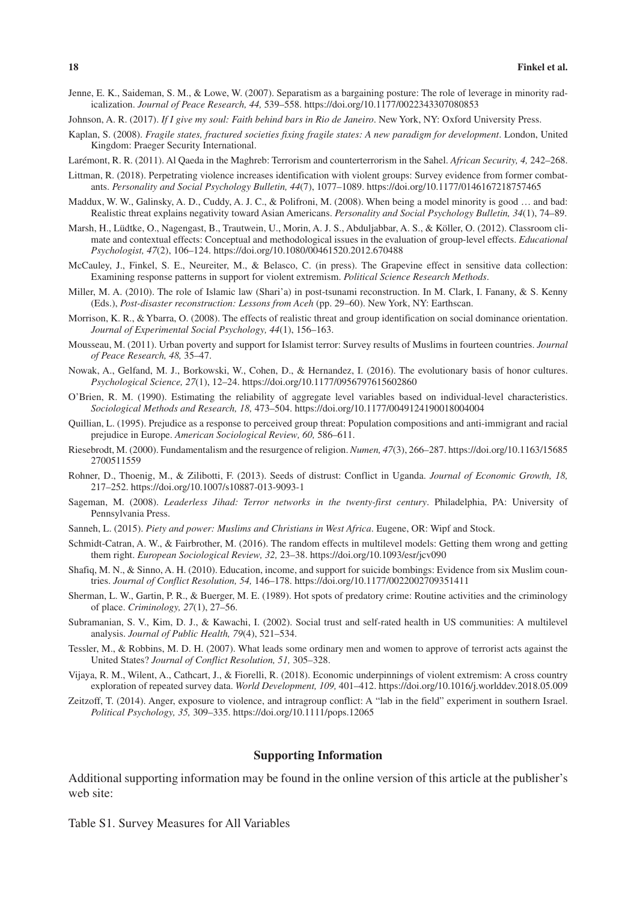- Jenne, E. K., Saideman, S. M., & Lowe, W. (2007). Separatism as a bargaining posture: The role of leverage in minority radicalization. *Journal of Peace Research, 44,* 539–558.<https://doi.org/10.1177/0022343307080853>
- Johnson, A. R. (2017). *If I give my soul: Faith behind bars in Rio de Janeiro*. New York, NY: Oxford University Press.
- Kaplan, S. (2008). *Fragile states, fractured societies fixing fragile states: A new paradigm for development*. London, United Kingdom: Praeger Security International.
- Larémont, R. R. (2011). Al Qaeda in the Maghreb: Terrorism and counterterrorism in the Sahel. *African Security, 4,* 242–268.
- Littman, R. (2018). Perpetrating violence increases identification with violent groups: Survey evidence from former combatants. *Personality and Social Psychology Bulletin, 44*(7), 1077–1089.<https://doi.org/10.1177/0146167218757465>
- Maddux, W. W., Galinsky, A. D., Cuddy, A. J. C., & Polifroni, M. (2008). When being a model minority is good ... and bad: Realistic threat explains negativity toward Asian Americans. *Personality and Social Psychology Bulletin, 34*(1), 74–89.
- Marsh, H., Lüdtke, O., Nagengast, B., Trautwein, U., Morin, A. J. S., Abduljabbar, A. S., & Köller, O. (2012). Classroom climate and contextual effects: Conceptual and methodological issues in the evaluation of group-level effects. *Educational Psychologist, 47*(2), 106–124. <https://doi.org/10.1080/00461520.2012.670488>
- McCauley, J., Finkel, S. E., Neureiter, M., & Belasco, C. (in press). The Grapevine effect in sensitive data collection: Examining response patterns in support for violent extremism. *Political Science Research Methods*.
- Miller, M. A. (2010). The role of Islamic law (Shari'a) in post-tsunami reconstruction. In M. Clark, I. Fanany, & S. Kenny (Eds.), *Post-disaster reconstruction: Lessons from Aceh* (pp. 29–60). New York, NY: Earthscan.
- Morrison, K. R., & Ybarra, O. (2008). The effects of realistic threat and group identification on social dominance orientation. *Journal of Experimental Social Psychology, 44*(1), 156–163.
- Mousseau, M. (2011). Urban poverty and support for Islamist terror: Survey results of Muslims in fourteen countries. *Journal of Peace Research, 48,* 35–47.
- Nowak, A., Gelfand, M. J., Borkowski, W., Cohen, D., & Hernandez, I. (2016). The evolutionary basis of honor cultures. *Psychological Science, 27*(1), 12–24. <https://doi.org/10.1177/0956797615602860>
- O'Brien, R. M. (1990). Estimating the reliability of aggregate level variables based on individual-level characteristics. *Sociological Methods and Research, 18,* 473–504.<https://doi.org/10.1177/0049124190018004004>
- Quillian, L. (1995). Prejudice as a response to perceived group threat: Population compositions and anti-immigrant and racial prejudice in Europe. *American Sociological Review, 60,* 586–611.
- Riesebrodt, M. (2000). Fundamentalism and the resurgence of religion. *Numen, 47*(3), 266–287. [https://doi.org/10.1163/15685](https://doi.org/10.1163/156852700511559) [2700511559](https://doi.org/10.1163/156852700511559)
- Rohner, D., Thoenig, M., & Zilibotti, F. (2013). Seeds of distrust: Conflict in Uganda. *Journal of Economic Growth, 18,* 217–252. <https://doi.org/10.1007/s10887-013-9093-1>
- Sageman, M. (2008). *Leaderless Jihad: Terror networks in the twenty-first century*. Philadelphia, PA: University of Pennsylvania Press.
- Sanneh, L. (2015). *Piety and power: Muslims and Christians in West Africa*. Eugene, OR: Wipf and Stock.
- Schmidt-Catran, A. W., & Fairbrother, M. (2016). The random effects in multilevel models: Getting them wrong and getting them right. *European Sociological Review, 32,* 23–38. <https://doi.org/10.1093/esr/jcv090>
- Shafiq, M. N., & Sinno, A. H. (2010). Education, income, and support for suicide bombings: Evidence from six Muslim countries. *Journal of Conflict Resolution, 54,* 146–178.<https://doi.org/10.1177/0022002709351411>
- Sherman, L. W., Gartin, P. R., & Buerger, M. E. (1989). Hot spots of predatory crime: Routine activities and the criminology of place. *Criminology, 27*(1), 27–56.
- Subramanian, S. V., Kim, D. J., & Kawachi, I. (2002). Social trust and self-rated health in US communities: A multilevel analysis. *Journal of Public Health, 79*(4), 521–534.
- Tessler, M., & Robbins, M. D. H. (2007). What leads some ordinary men and women to approve of terrorist acts against the United States? *Journal of Conflict Resolution, 51,* 305–328.
- Vijaya, R. M., Wilent, A., Cathcart, J., & Fiorelli, R. (2018). Economic underpinnings of violent extremism: A cross country exploration of repeated survey data. *World Development, 109,* 401–412.<https://doi.org/10.1016/j.worlddev.2018.05.009>
- Zeitzoff, T. (2014). Anger, exposure to violence, and intragroup conflict: A "lab in the field" experiment in southern Israel. *Political Psychology, 35,* 309–335.<https://doi.org/10.1111/pops.12065>

# **Supporting Information**

Additional supporting information may be found in the online version of this article at the publisher's web site:

Table S1. Survey Measures for All Variables